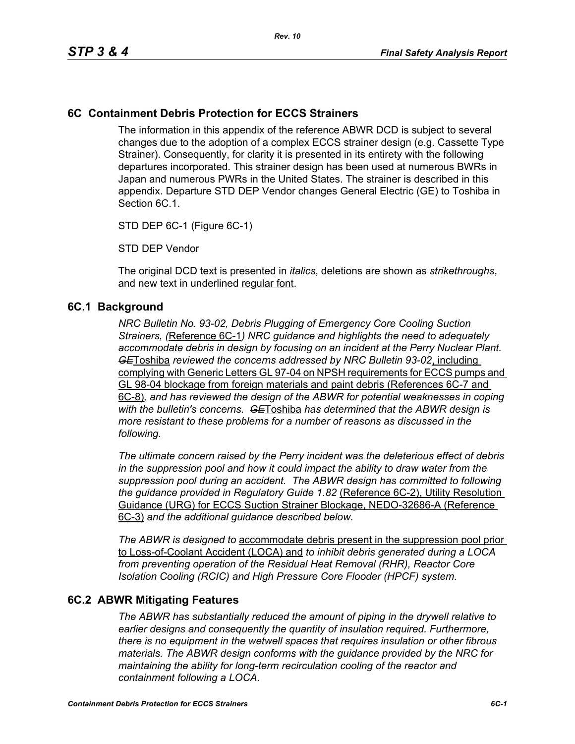#### **6C Containment Debris Protection for ECCS Strainers**

The information in this appendix of the reference ABWR DCD is subject to several changes due to the adoption of a complex ECCS strainer design (e.g. Cassette Type Strainer). Consequently, for clarity it is presented in its entirety with the following departures incorporated. This strainer design has been used at numerous BWRs in Japan and numerous PWRs in the United States. The strainer is described in this appendix. Departure STD DEP Vendor changes General Electric (GE) to Toshiba in Section 6C.1.

STD DEP 6C-1 (Figure 6C-1)

STD DEP Vendor

The original DCD text is presented in *italics*, deletions are shown as *strikethroughs*, and new text in underlined regular font.

#### **6C.1 Background**

*NRC Bulletin No. 93-02, Debris Plugging of Emergency Core Cooling Suction Strainers, (*Reference 6C-1*) NRC guidance and highlights the need to adequately accommodate debris in design by focusing on an incident at the Perry Nuclear Plant. GE*Toshiba *reviewed the concerns addressed by NRC Bulletin 93-02*, including complying with Generic Letters GL 97-04 on NPSH requirements for ECCS pumps and GL 98-04 blockage from foreign materials and paint debris (References 6C-7 and 6C-8)*, and has reviewed the design of the ABWR for potential weaknesses in coping with the bulletin's concerns. GE*Toshiba *has determined that the ABWR design is more resistant to these problems for a number of reasons as discussed in the following.* 

*The ultimate concern raised by the Perry incident was the deleterious effect of debris in the suppression pool and how it could impact the ability to draw water from the suppression pool during an accident. The ABWR design has committed to following the guidance provided in Regulatory Guide 1.82* (Reference 6C-2), Utility Resolution Guidance (URG) for ECCS Suction Strainer Blockage, NEDO-32686-A (Reference 6C-3) *and the additional guidance described below.* 

*The ABWR is designed to* accommodate debris present in the suppression pool prior to Loss-of-Coolant Accident (LOCA) and *to inhibit debris generated during a LOCA from preventing operation of the Residual Heat Removal (RHR), Reactor Core Isolation Cooling (RCIC) and High Pressure Core Flooder (HPCF) system.* 

#### **6C.2 ABWR Mitigating Features**

*The ABWR has substantially reduced the amount of piping in the drywell relative to earlier designs and consequently the quantity of insulation required. Furthermore, there is no equipment in the wetwell spaces that requires insulation or other fibrous materials. The ABWR design conforms with the guidance provided by the NRC for maintaining the ability for long-term recirculation cooling of the reactor and containment following a LOCA.*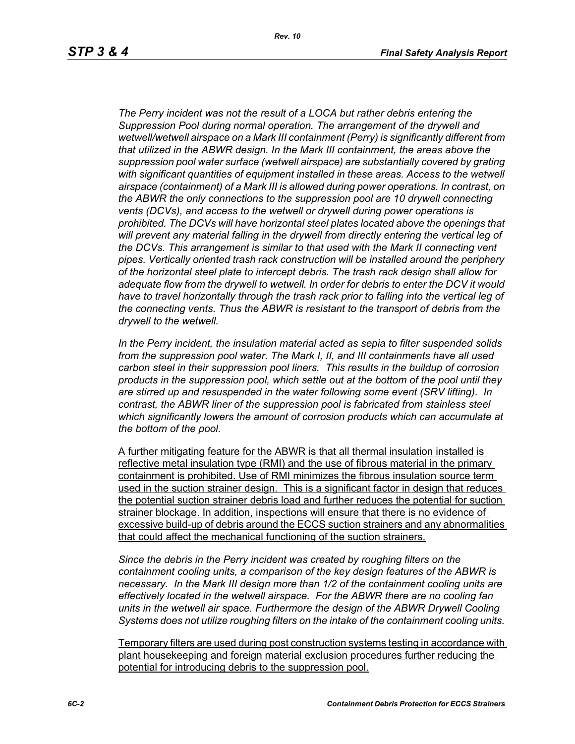*Rev. 10*

*The Perry incident was not the result of a LOCA but rather debris entering the Suppression Pool during normal operation. The arrangement of the drywell and wetwell/wetwell airspace on a Mark III containment (Perry) is significantly different from that utilized in the ABWR design. In the Mark III containment, the areas above the suppression pool water surface (wetwell airspace) are substantially covered by grating with significant quantities of equipment installed in these areas. Access to the wetwell airspace (containment) of a Mark III is allowed during power operations. In contrast, on the ABWR the only connections to the suppression pool are 10 drywell connecting vents (DCVs), and access to the wetwell or drywell during power operations is prohibited. The DCVs will have horizontal steel plates located above the openings that will prevent any material falling in the drywell from directly entering the vertical leg of the DCVs. This arrangement is similar to that used with the Mark II connecting vent pipes. Vertically oriented trash rack construction will be installed around the periphery of the horizontal steel plate to intercept debris. The trash rack design shall allow for adequate flow from the drywell to wetwell. In order for debris to enter the DCV it would*  have to travel horizontally through the trash rack prior to falling into the vertical leg of *the connecting vents. Thus the ABWR is resistant to the transport of debris from the drywell to the wetwell.*

*In the Perry incident, the insulation material acted as sepia to filter suspended solids from the suppression pool water. The Mark I, II, and III containments have all used carbon steel in their suppression pool liners. This results in the buildup of corrosion products in the suppression pool, which settle out at the bottom of the pool until they are stirred up and resuspended in the water following some event (SRV lifting). In contrast, the ABWR liner of the suppression pool is fabricated from stainless steel which significantly lowers the amount of corrosion products which can accumulate at the bottom of the pool.* 

A further mitigating feature for the ABWR is that all thermal insulation installed is reflective metal insulation type (RMI) and the use of fibrous material in the primary containment is prohibited. Use of RMI minimizes the fibrous insulation source term used in the suction strainer design. This is a significant factor in design that reduces the potential suction strainer debris load and further reduces the potential for suction strainer blockage. In addition, inspections will ensure that there is no evidence of excessive build-up of debris around the ECCS suction strainers and any abnormalities that could affect the mechanical functioning of the suction strainers.

*Since the debris in the Perry incident was created by roughing filters on the containment cooling units, a comparison of the key design features of the ABWR is necessary. In the Mark III design more than 1/2 of the containment cooling units are effectively located in the wetwell airspace. For the ABWR there are no cooling fan units in the wetwell air space. Furthermore the design of the ABWR Drywell Cooling Systems does not utilize roughing filters on the intake of the containment cooling units.* 

Temporary filters are used during post construction systems testing in accordance with plant housekeeping and foreign material exclusion procedures further reducing the potential for introducing debris to the suppression pool.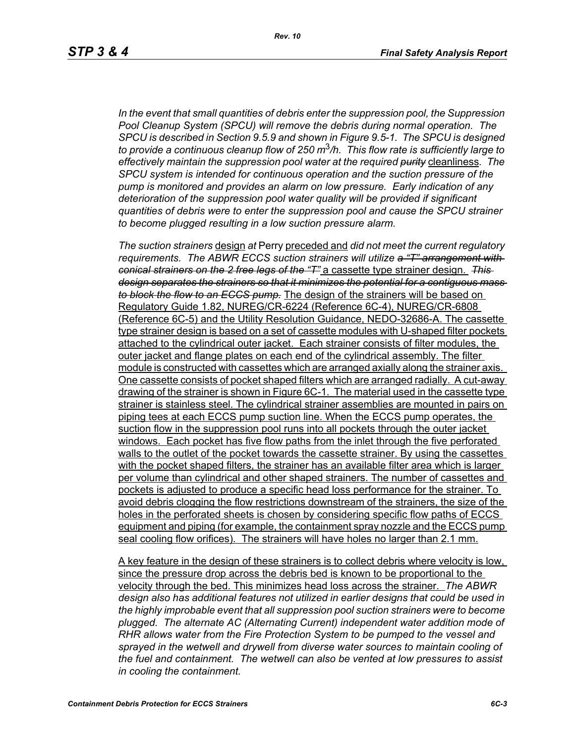*In the event that small quantities of debris enter the suppression pool, the Suppression Pool Cleanup System (SPCU) will remove the debris during normal operation. The SPCU is described in Section 9.5.9 and shown in Figure 9.5-1. The SPCU is designed to provide a continuous cleanup flow of 250 m*3*/h. This flow rate is sufficiently large to effectively maintain the suppression pool water at the required purity* cleanliness*. The SPCU system is intended for continuous operation and the suction pressure of the pump is monitored and provides an alarm on low pressure. Early indication of any deterioration of the suppression pool water quality will be provided if significant quantities of debris were to enter the suppression pool and cause the SPCU strainer to become plugged resulting in a low suction pressure alarm.* 

*The suction strainers* design *at* Perry preceded and *did not meet the current regulatory requirements. The ABWR ECCS suction strainers will utilize a "T" arrangement with conical strainers on the 2 free legs of the "T"* a cassette type strainer design. *This design separates the strainers so that it minimizes the potential for a contiguous mass to block the flow to an ECCS pump.* The design of the strainers will be based on Regulatory Guide 1.82, NUREG/CR-6224 (Reference 6C-4), NUREG/CR-6808 (Reference 6C-5) and the Utility Resolution Guidance, NEDO-32686-A. The cassette type strainer design is based on a set of cassette modules with U-shaped filter pockets attached to the cylindrical outer jacket. Each strainer consists of filter modules, the outer jacket and flange plates on each end of the cylindrical assembly. The filter module is constructed with cassettes which are arranged axially along the strainer axis. One cassette consists of pocket shaped filters which are arranged radially. A cut-away drawing of the strainer is shown in Figure 6C-1. The material used in the cassette type strainer is stainless steel. The cylindrical strainer assemblies are mounted in pairs on piping tees at each ECCS pump suction line. When the ECCS pump operates, the suction flow in the suppression pool runs into all pockets through the outer jacket windows. Each pocket has five flow paths from the inlet through the five perforated walls to the outlet of the pocket towards the cassette strainer. By using the cassettes with the pocket shaped filters, the strainer has an available filter area which is larger per volume than cylindrical and other shaped strainers. The number of cassettes and pockets is adjusted to produce a specific head loss performance for the strainer. To avoid debris clogging the flow restrictions downstream of the strainers, the size of the holes in the perforated sheets is chosen by considering specific flow paths of ECCS equipment and piping (for example, the containment spray nozzle and the ECCS pump seal cooling flow orifices). The strainers will have holes no larger than 2.1 mm.

A key feature in the design of these strainers is to collect debris where velocity is low, since the pressure drop across the debris bed is known to be proportional to the velocity through the bed. This minimizes head loss across the strainer. *The ABWR design also has additional features not utilized in earlier designs that could be used in the highly improbable event that all suppression pool suction strainers were to become plugged. The alternate AC (Alternating Current) independent water addition mode of RHR allows water from the Fire Protection System to be pumped to the vessel and*  sprayed in the wetwell and drywell from diverse water sources to maintain cooling of *the fuel and containment. The wetwell can also be vented at low pressures to assist in cooling the containment.*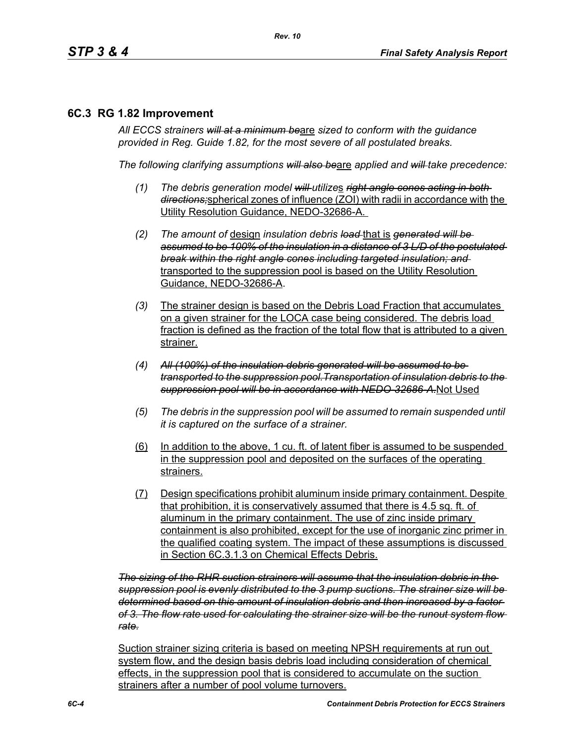## **6C.3 RG 1.82 Improvement**

*All ECCS strainers will at a minimum be*are *sized to conform with the guidance provided in Reg. Guide 1.82, for the most severe of all postulated breaks.*

*The following clarifying assumptions will also be*are *applied and will take precedence:*

- *(1) The debris generation model will utilize*s *right angle cones acting in both directions;*spherical zones of influence (ZOI) with radii in accordance with the Utility Resolution Guidance, NEDO-32686-A.
- *(2) The amount of* design *insulation debris load* that is *generated will be assumed to be 100% of the insulation in a distance of 3 L/D of the postulated break within the right angle cones including targeted insulation; and* transported to the suppression pool is based on the Utility Resolution Guidance, NEDO-32686-A.
- *(3)* The strainer design is based on the Debris Load Fraction that accumulates on a given strainer for the LOCA case being considered. The debris load fraction is defined as the fraction of the total flow that is attributed to a given strainer.
- *(4) All (100%) of the insulation debris generated will be assumed to be transported to the suppression pool.Transportation of insulation debris to the suppression pool will be in accordance with NEDO-32686-A.*Not Used
- *(5) The debris in the suppression pool will be assumed to remain suspended until it is captured on the surface of a strainer.*
- (6) In addition to the above, 1 cu. ft. of latent fiber is assumed to be suspended in the suppression pool and deposited on the surfaces of the operating strainers.
- (7) Design specifications prohibit aluminum inside primary containment. Despite that prohibition, it is conservatively assumed that there is 4.5 sq. ft. of aluminum in the primary containment. The use of zinc inside primary containment is also prohibited, except for the use of inorganic zinc primer in the qualified coating system. The impact of these assumptions is discussed in Section 6C.3.1.3 on Chemical Effects Debris.

*The sizing of the RHR suction strainers will assume that the insulation debris in the suppression pool is evenly distributed to the 3 pump suctions. The strainer size will be determined based on this amount of insulation debris and then increased by a factor of 3. The flow rate used for calculating the strainer size will be the runout system flow rate.*

Suction strainer sizing criteria is based on meeting NPSH requirements at run out system flow, and the design basis debris load including consideration of chemical effects, in the suppression pool that is considered to accumulate on the suction strainers after a number of pool volume turnovers.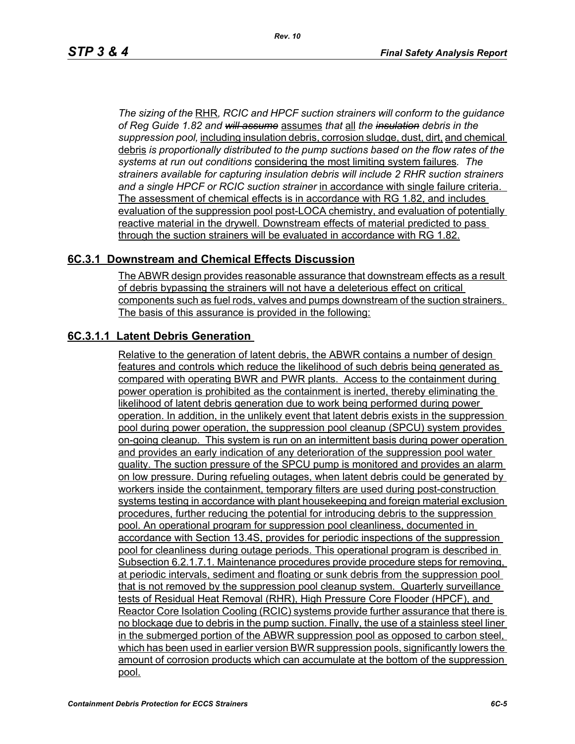*The sizing of the* RHR*, RCIC and HPCF suction strainers will conform to the guidance of Reg Guide 1.82 and will assume* assumes *that* all *the insulation debris in the suppression pool,* including insulation debris, corrosion sludge, dust, dirt, and chemical debris *is proportionally distributed to the pump suctions based on the flow rates of the systems at run out conditions* considering the most limiting system failures*. The strainers available for capturing insulation debris will include 2 RHR suction strainers and a single HPCF or RCIC suction strainer* in accordance with single failure criteria. The assessment of chemical effects is in accordance with RG 1.82, and includes evaluation of the suppression pool post-LOCA chemistry, and evaluation of potentially reactive material in the drywell. Downstream effects of material predicted to pass through the suction strainers will be evaluated in accordance with RG 1.82.

#### **6C.3.1 Downstream and Chemical Effects Discussion**

The ABWR design provides reasonable assurance that downstream effects as a result of debris bypassing the strainers will not have a deleterious effect on critical components such as fuel rods, valves and pumps downstream of the suction strainers. The basis of this assurance is provided in the following:

## **6C.3.1.1 Latent Debris Generation**

Relative to the generation of latent debris, the ABWR contains a number of design features and controls which reduce the likelihood of such debris being generated as compared with operating BWR and PWR plants. Access to the containment during power operation is prohibited as the containment is inerted, thereby eliminating the likelihood of latent debris generation due to work being performed during power operation. In addition, in the unlikely event that latent debris exists in the suppression pool during power operation, the suppression pool cleanup (SPCU) system provides on-going cleanup. This system is run on an intermittent basis during power operation and provides an early indication of any deterioration of the suppression pool water quality. The suction pressure of the SPCU pump is monitored and provides an alarm on low pressure. During refueling outages, when latent debris could be generated by workers inside the containment, temporary filters are used during post-construction systems testing in accordance with plant housekeeping and foreign material exclusion procedures, further reducing the potential for introducing debris to the suppression pool. An operational program for suppression pool cleanliness, documented in accordance with Section 13.4S, provides for periodic inspections of the suppression pool for cleanliness during outage periods. This operational program is described in Subsection 6.2.1.7.1. Maintenance procedures provide procedure steps for removing, at periodic intervals, sediment and floating or sunk debris from the suppression pool that is not removed by the suppression pool cleanup system. Quarterly surveillance tests of Residual Heat Removal (RHR), High Pressure Core Flooder (HPCF), and Reactor Core Isolation Cooling (RCIC) systems provide further assurance that there is no blockage due to debris in the pump suction. Finally, the use of a stainless steel liner in the submerged portion of the ABWR suppression pool as opposed to carbon steel, which has been used in earlier version BWR suppression pools, significantly lowers the amount of corrosion products which can accumulate at the bottom of the suppression pool.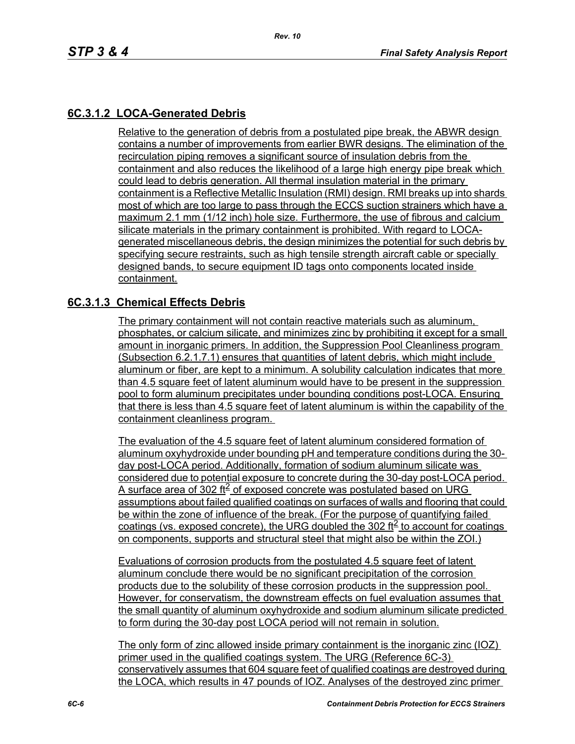# **6C.3.1.2 LOCA-Generated Debris**

Relative to the generation of debris from a postulated pipe break, the ABWR design contains a number of improvements from earlier BWR designs. The elimination of the recirculation piping removes a significant source of insulation debris from the containment and also reduces the likelihood of a large high energy pipe break which could lead to debris generation. All thermal insulation material in the primary containment is a Reflective Metallic Insulation (RMI) design. RMI breaks up into shards most of which are too large to pass through the ECCS suction strainers which have a maximum 2.1 mm (1/12 inch) hole size. Furthermore, the use of fibrous and calcium silicate materials in the primary containment is prohibited. With regard to LOCAgenerated miscellaneous debris, the design minimizes the potential for such debris by specifying secure restraints, such as high tensile strength aircraft cable or specially designed bands, to secure equipment ID tags onto components located inside containment.

#### **6C.3.1.3 Chemical Effects Debris**

The primary containment will not contain reactive materials such as aluminum, phosphates, or calcium silicate, and minimizes zinc by prohibiting it except for a small amount in inorganic primers. In addition, the Suppression Pool Cleanliness program (Subsection 6.2.1.7.1) ensures that quantities of latent debris, which might include aluminum or fiber, are kept to a minimum. A solubility calculation indicates that more than 4.5 square feet of latent aluminum would have to be present in the suppression pool to form aluminum precipitates under bounding conditions post-LOCA. Ensuring that there is less than 4.5 square feet of latent aluminum is within the capability of the containment cleanliness program.

The evaluation of the 4.5 square feet of latent aluminum considered formation of aluminum oxyhydroxide under bounding pH and temperature conditions during the 30 day post-LOCA period. Additionally, formation of sodium aluminum silicate was considered due to potential exposure to concrete during the 30-day post-LOCA period. A surface area of 302 ft $\leq$  of exposed concrete was postulated based on URG assumptions about failed qualified coatings on surfaces of walls and flooring that could be within the zone of influence of the break. (For the purpose of quantifying failed coatings (vs. exposed concrete), the URG doubled the 302 ft<sup>2</sup> to account for coatings on components, supports and structural steel that might also be within the ZOI.)

Evaluations of corrosion products from the postulated 4.5 square feet of latent aluminum conclude there would be no significant precipitation of the corrosion products due to the solubility of these corrosion products in the suppression pool. However, for conservatism, the downstream effects on fuel evaluation assumes that the small quantity of aluminum oxyhydroxide and sodium aluminum silicate predicted to form during the 30-day post LOCA period will not remain in solution.

The only form of zinc allowed inside primary containment is the inorganic zinc (IOZ) primer used in the qualified coatings system. The URG (Reference 6C-3) conservatively assumes that 604 square feet of qualified coatings are destroyed during the LOCA, which results in 47 pounds of IOZ. Analyses of the destroyed zinc primer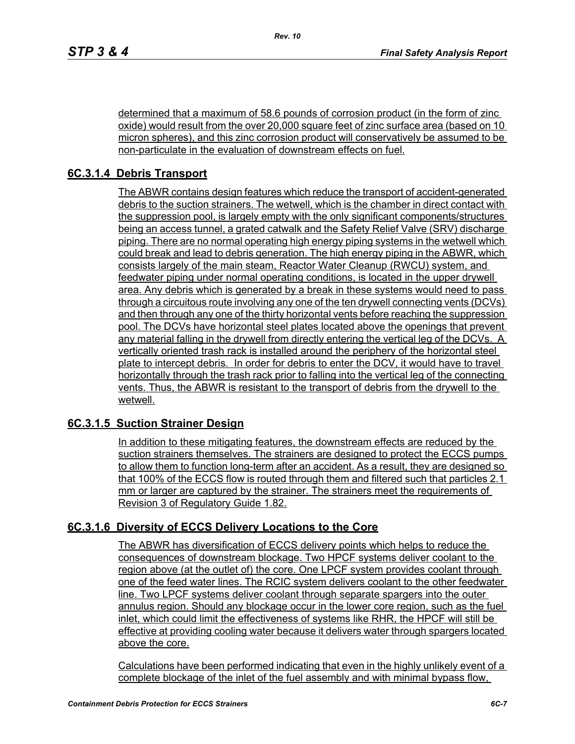determined that a maximum of 58.6 pounds of corrosion product (in the form of zinc oxide) would result from the over 20,000 square feet of zinc surface area (based on 10 micron spheres), and this zinc corrosion product will conservatively be assumed to be non-particulate in the evaluation of downstream effects on fuel.

# **6C.3.1.4 Debris Transport**

The ABWR contains design features which reduce the transport of accident-generated debris to the suction strainers. The wetwell, which is the chamber in direct contact with the suppression pool, is largely empty with the only significant components/structures being an access tunnel, a grated catwalk and the Safety Relief Valve (SRV) discharge piping. There are no normal operating high energy piping systems in the wetwell which could break and lead to debris generation. The high energy piping in the ABWR, which consists largely of the main steam, Reactor Water Cleanup (RWCU) system, and feedwater piping under normal operating conditions, is located in the upper drywell area. Any debris which is generated by a break in these systems would need to pass through a circuitous route involving any one of the ten drywell connecting vents (DCVs) and then through any one of the thirty horizontal vents before reaching the suppression pool. The DCVs have horizontal steel plates located above the openings that prevent any material falling in the drywell from directly entering the vertical leg of the DCVs. A vertically oriented trash rack is installed around the periphery of the horizontal steel plate to intercept debris. In order for debris to enter the DCV, it would have to travel horizontally through the trash rack prior to falling into the vertical leg of the connecting vents. Thus, the ABWR is resistant to the transport of debris from the drywell to the wetwell.

## **6C.3.1.5 Suction Strainer Design**

In addition to these mitigating features, the downstream effects are reduced by the suction strainers themselves. The strainers are designed to protect the ECCS pumps to allow them to function long-term after an accident. As a result, they are designed so that 100% of the ECCS flow is routed through them and filtered such that particles 2.1 mm or larger are captured by the strainer. The strainers meet the requirements of Revision 3 of Regulatory Guide 1.82.

## **6C.3.1.6 Diversity of ECCS Delivery Locations to the Core**

The ABWR has diversification of ECCS delivery points which helps to reduce the consequences of downstream blockage. Two HPCF systems deliver coolant to the region above (at the outlet of) the core. One LPCF system provides coolant through one of the feed water lines. The RCIC system delivers coolant to the other feedwater line. Two LPCF systems deliver coolant through separate spargers into the outer annulus region. Should any blockage occur in the lower core region, such as the fuel inlet, which could limit the effectiveness of systems like RHR, the HPCF will still be effective at providing cooling water because it delivers water through spargers located above the core.

Calculations have been performed indicating that even in the highly unlikely event of a complete blockage of the inlet of the fuel assembly and with minimal bypass flow,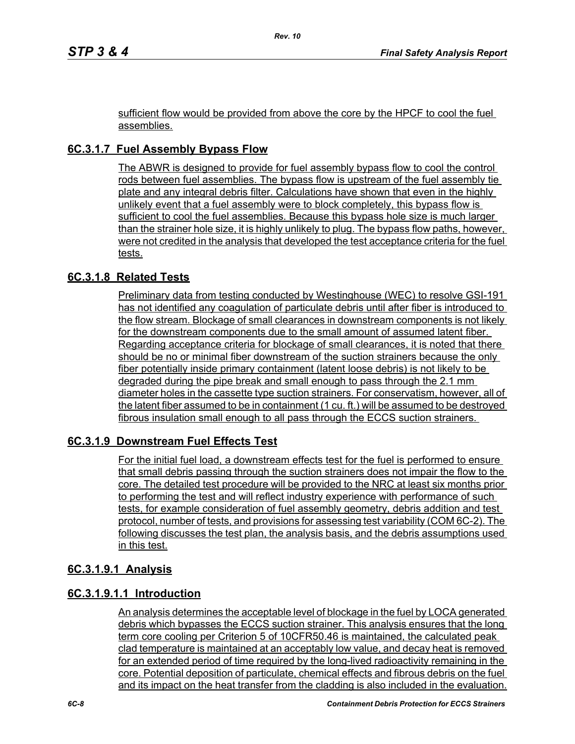sufficient flow would be provided from above the core by the HPCF to cool the fuel assemblies.

# **6C.3.1.7 Fuel Assembly Bypass Flow**

The ABWR is designed to provide for fuel assembly bypass flow to cool the control rods between fuel assemblies. The bypass flow is upstream of the fuel assembly tie plate and any integral debris filter. Calculations have shown that even in the highly unlikely event that a fuel assembly were to block completely, this bypass flow is sufficient to cool the fuel assemblies. Because this bypass hole size is much larger than the strainer hole size, it is highly unlikely to plug. The bypass flow paths, however, were not credited in the analysis that developed the test acceptance criteria for the fuel tests.

## **6C.3.1.8 Related Tests**

Preliminary data from testing conducted by Westinghouse (WEC) to resolve GSI-191 has not identified any coagulation of particulate debris until after fiber is introduced to the flow stream. Blockage of small clearances in downstream components is not likely for the downstream components due to the small amount of assumed latent fiber. Regarding acceptance criteria for blockage of small clearances, it is noted that there should be no or minimal fiber downstream of the suction strainers because the only fiber potentially inside primary containment (latent loose debris) is not likely to be degraded during the pipe break and small enough to pass through the 2.1 mm diameter holes in the cassette type suction strainers. For conservatism, however, all of the latent fiber assumed to be in containment (1 cu. ft.) will be assumed to be destroyed fibrous insulation small enough to all pass through the ECCS suction strainers.

## **6C.3.1.9 Downstream Fuel Effects Test**

For the initial fuel load, a downstream effects test for the fuel is performed to ensure that small debris passing through the suction strainers does not impair the flow to the core. The detailed test procedure will be provided to the NRC at least six months prior to performing the test and will reflect industry experience with performance of such tests, for example consideration of fuel assembly geometry, debris addition and test protocol, number of tests, and provisions for assessing test variability (COM 6C-2). The following discusses the test plan, the analysis basis, and the debris assumptions used in this test.

#### **6C.3.1.9.1 Analysis**

## **6C.3.1.9.1.1 Introduction**

An analysis determines the acceptable level of blockage in the fuel by LOCA generated debris which bypasses the ECCS suction strainer. This analysis ensures that the long term core cooling per Criterion 5 of 10CFR50.46 is maintained, the calculated peak clad temperature is maintained at an acceptably low value, and decay heat is removed for an extended period of time required by the long-lived radioactivity remaining in the core. Potential deposition of particulate, chemical effects and fibrous debris on the fuel and its impact on the heat transfer from the cladding is also included in the evaluation.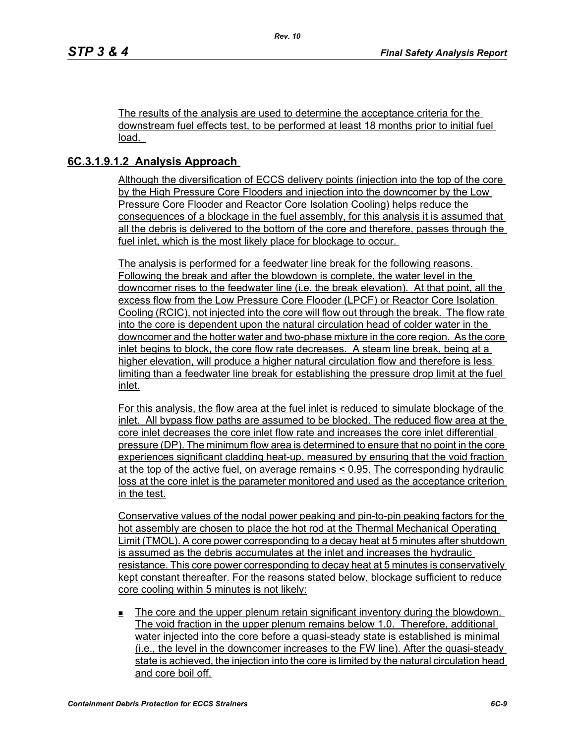The results of the analysis are used to determine the acceptance criteria for the downstream fuel effects test, to be performed at least 18 months prior to initial fuel load.

## **6C.3.1.9.1.2 Analysis Approach**

Although the diversification of ECCS delivery points (injection into the top of the core by the High Pressure Core Flooders and injection into the downcomer by the Low Pressure Core Flooder and Reactor Core Isolation Cooling) helps reduce the consequences of a blockage in the fuel assembly, for this analysis it is assumed that all the debris is delivered to the bottom of the core and therefore, passes through the fuel inlet, which is the most likely place for blockage to occur.

The analysis is performed for a feedwater line break for the following reasons. Following the break and after the blowdown is complete, the water level in the downcomer rises to the feedwater line (i.e. the break elevation). At that point, all the excess flow from the Low Pressure Core Flooder (LPCF) or Reactor Core Isolation Cooling (RCIC), not injected into the core will flow out through the break. The flow rate into the core is dependent upon the natural circulation head of colder water in the downcomer and the hotter water and two-phase mixture in the core region. As the core inlet begins to block, the core flow rate decreases. A steam line break, being at a higher elevation, will produce a higher natural circulation flow and therefore is less limiting than a feedwater line break for establishing the pressure drop limit at the fuel inlet.

For this analysis, the flow area at the fuel inlet is reduced to simulate blockage of the inlet. All bypass flow paths are assumed to be blocked. The reduced flow area at the core inlet decreases the core inlet flow rate and increases the core inlet differential pressure (DP). The minimum flow area is determined to ensure that no point in the core experiences significant cladding heat-up, measured by ensuring that the void fraction at the top of the active fuel, on average remains < 0.95. The corresponding hydraulic loss at the core inlet is the parameter monitored and used as the acceptance criterion in the test.

Conservative values of the nodal power peaking and pin-to-pin peaking factors for the hot assembly are chosen to place the hot rod at the Thermal Mechanical Operating Limit (TMOL). A core power corresponding to a decay heat at 5 minutes after shutdown is assumed as the debris accumulates at the inlet and increases the hydraulic resistance. This core power corresponding to decay heat at 5 minutes is conservatively kept constant thereafter. For the reasons stated below, blockage sufficient to reduce core cooling within 5 minutes is not likely:

 The core and the upper plenum retain significant inventory during the blowdown. The void fraction in the upper plenum remains below 1.0. Therefore, additional water injected into the core before a quasi-steady state is established is minimal (i.e., the level in the downcomer increases to the FW line). After the quasi-steady state is achieved, the injection into the core is limited by the natural circulation head and core boil off.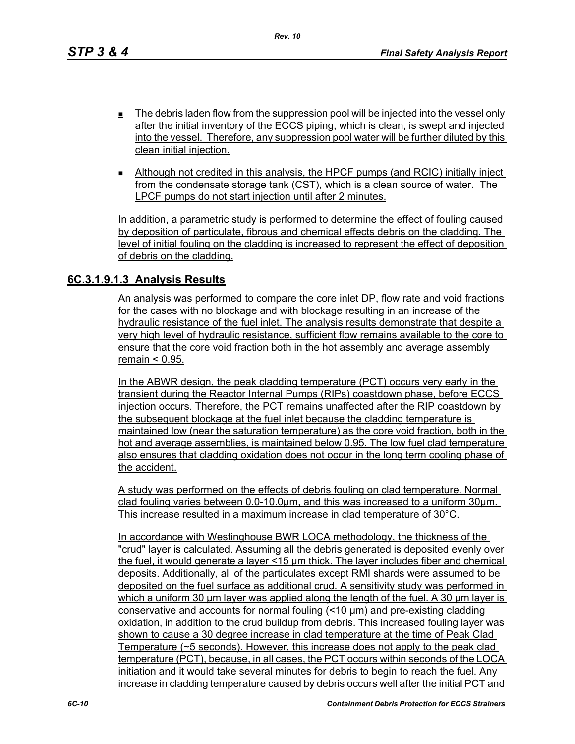- $\blacksquare$  The debris laden flow from the suppression pool will be injected into the vessel only after the initial inventory of the ECCS piping, which is clean, is swept and injected into the vessel. Therefore, any suppression pool water will be further diluted by this clean initial injection.
- Although not credited in this analysis, the HPCF pumps (and RCIC) initially inject from the condensate storage tank (CST), which is a clean source of water. The LPCF pumps do not start injection until after 2 minutes.

In addition, a parametric study is performed to determine the effect of fouling caused by deposition of particulate, fibrous and chemical effects debris on the cladding. The level of initial fouling on the cladding is increased to represent the effect of deposition of debris on the cladding.

#### **6C.3.1.9.1.3 Analysis Results**

An analysis was performed to compare the core inlet DP, flow rate and void fractions for the cases with no blockage and with blockage resulting in an increase of the hydraulic resistance of the fuel inlet. The analysis results demonstrate that despite a very high level of hydraulic resistance, sufficient flow remains available to the core to ensure that the core void fraction both in the hot assembly and average assembly remain < 0.95.

In the ABWR design, the peak cladding temperature (PCT) occurs very early in the transient during the Reactor Internal Pumps (RIPs) coastdown phase, before ECCS injection occurs. Therefore, the PCT remains unaffected after the RIP coastdown by the subsequent blockage at the fuel inlet because the cladding temperature is maintained low (near the saturation temperature) as the core void fraction, both in the hot and average assemblies, is maintained below 0.95. The low fuel clad temperature also ensures that cladding oxidation does not occur in the long term cooling phase of the accident.

A study was performed on the effects of debris fouling on clad temperature. Normal clad fouling varies between 0.0-10.0μm, and this was increased to a uniform 30μm. This increase resulted in a maximum increase in clad temperature of 30°C.

In accordance with Westinghouse BWR LOCA methodology, the thickness of the "crud" layer is calculated. Assuming all the debris generated is deposited evenly over the fuel, it would generate a layer <15 μm thick. The layer includes fiber and chemical deposits. Additionally, all of the particulates except RMI shards were assumed to be deposited on the fuel surface as additional crud. A sensitivity study was performed in which a uniform 30 μm layer was applied along the length of the fuel. A 30 μm layer is conservative and accounts for normal fouling (<10 μm) and pre-existing cladding oxidation, in addition to the crud buildup from debris. This increased fouling layer was shown to cause a 30 degree increase in clad temperature at the time of Peak Clad Temperature (~5 seconds). However, this increase does not apply to the peak clad temperature (PCT), because, in all cases, the PCT occurs within seconds of the LOCA initiation and it would take several minutes for debris to begin to reach the fuel. Any increase in cladding temperature caused by debris occurs well after the initial PCT and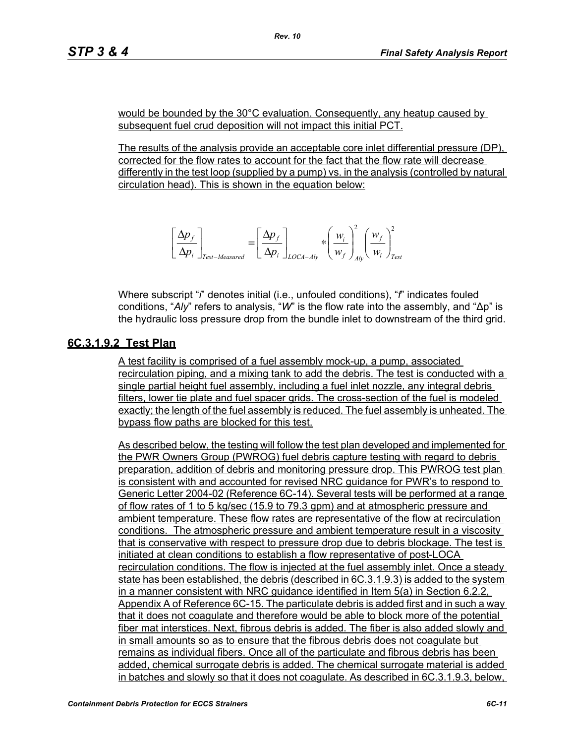would be bounded by the 30°C evaluation. Consequently, any heatup caused by subsequent fuel crud deposition will not impact this initial PCT.

The results of the analysis provide an acceptable core inlet differential pressure (DP), corrected for the flow rates to account for the fact that the flow rate will decrease differently in the test loop (supplied by a pump) vs. in the analysis (controlled by natural circulation head). This is shown in the equation below:

$$
\left[\frac{\Delta p_f}{\Delta p_i}\right]_{Test-Measured} = \left[\frac{\Delta p_f}{\Delta p_i}\right]_{LOCA-Aly} * \left(\frac{w_i}{w_f}\right)_{Ab}^2 \left(\frac{w_f}{w_i}\right)_{Test}^2
$$

Where subscript "*i*" denotes initial (i.e., unfouled conditions), "*f*" indicates fouled conditions, "*Aly*" refers to analysis, "*W*" is the flow rate into the assembly, and "∆p" is the hydraulic loss pressure drop from the bundle inlet to downstream of the third grid.

## **6C.3.1.9.2 Test Plan**

A test facility is comprised of a fuel assembly mock-up, a pump, associated recirculation piping, and a mixing tank to add the debris. The test is conducted with a single partial height fuel assembly, including a fuel inlet nozzle, any integral debris filters, lower tie plate and fuel spacer grids. The cross-section of the fuel is modeled exactly; the length of the fuel assembly is reduced. The fuel assembly is unheated. The bypass flow paths are blocked for this test.

As described below, the testing will follow the test plan developed and implemented for the PWR Owners Group (PWROG) fuel debris capture testing with regard to debris preparation, addition of debris and monitoring pressure drop. This PWROG test plan is consistent with and accounted for revised NRC guidance for PWR's to respond to Generic Letter 2004-02 (Reference 6C-14). Several tests will be performed at a range of flow rates of 1 to 5 kg/sec (15.9 to 79.3 gpm) and at atmospheric pressure and ambient temperature. These flow rates are representative of the flow at recirculation conditions. The atmospheric pressure and ambient temperature result in a viscosity that is conservative with respect to pressure drop due to debris blockage. The test is initiated at clean conditions to establish a flow representative of post-LOCA recirculation conditions. The flow is injected at the fuel assembly inlet. Once a steady state has been established, the debris (described in 6C.3.1.9.3) is added to the system in a manner consistent with NRC guidance identified in Item 5(a) in Section 6.2.2, Appendix A of Reference 6C-15. The particulate debris is added first and in such a way that it does not coagulate and therefore would be able to block more of the potential fiber mat interstices. Next, fibrous debris is added. The fiber is also added slowly and in small amounts so as to ensure that the fibrous debris does not coagulate but remains as individual fibers. Once all of the particulate and fibrous debris has been added, chemical surrogate debris is added. The chemical surrogate material is added in batches and slowly so that it does not coagulate. As described in 6C.3.1.9.3, below,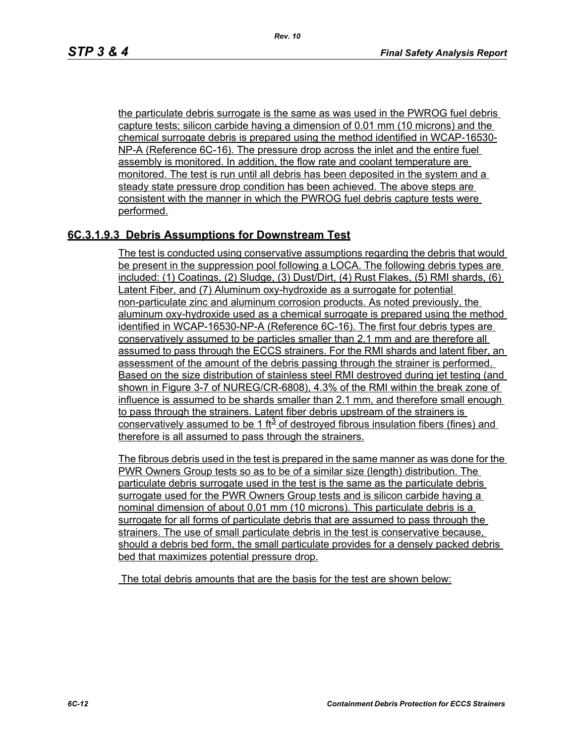the particulate debris surrogate is the same as was used in the PWROG fuel debris capture tests; silicon carbide having a dimension of 0.01 mm (10 microns) and the chemical surrogate debris is prepared using the method identified in WCAP-16530- NP-A (Reference 6C-16). The pressure drop across the inlet and the entire fuel assembly is monitored. In addition, the flow rate and coolant temperature are monitored. The test is run until all debris has been deposited in the system and a steady state pressure drop condition has been achieved. The above steps are consistent with the manner in which the PWROG fuel debris capture tests were performed.

## **6C.3.1.9.3 Debris Assumptions for Downstream Test**

The test is conducted using conservative assumptions regarding the debris that would be present in the suppression pool following a LOCA. The following debris types are included: (1) Coatings, (2) Sludge, (3) Dust/Dirt, (4) Rust Flakes, (5) RMI shards, (6) Latent Fiber, and (7) Aluminum oxy-hydroxide as a surrogate for potential non-particulate zinc and aluminum corrosion products. As noted previously, the aluminum oxy-hydroxide used as a chemical surrogate is prepared using the method identified in WCAP-16530-NP-A (Reference 6C-16). The first four debris types are conservatively assumed to be particles smaller than 2.1 mm and are therefore all assumed to pass through the ECCS strainers. For the RMI shards and latent fiber, an assessment of the amount of the debris passing through the strainer is performed. Based on the size distribution of stainless steel RMI destroyed during jet testing (and shown in Figure 3-7 of NUREG/CR-6808), 4.3% of the RMI within the break zone of influence is assumed to be shards smaller than 2.1 mm, and therefore small enough to pass through the strainers. Latent fiber debris upstream of the strainers is conservatively assumed to be 1 ft<sup>3</sup> of destroyed fibrous insulation fibers (fines) and therefore is all assumed to pass through the strainers.

The fibrous debris used in the test is prepared in the same manner as was done for the PWR Owners Group tests so as to be of a similar size (length) distribution. The particulate debris surrogate used in the test is the same as the particulate debris surrogate used for the PWR Owners Group tests and is silicon carbide having a nominal dimension of about 0.01 mm (10 microns). This particulate debris is a surrogate for all forms of particulate debris that are assumed to pass through the strainers. The use of small particulate debris in the test is conservative because, should a debris bed form, the small particulate provides for a densely packed debris bed that maximizes potential pressure drop.

The total debris amounts that are the basis for the test are shown below: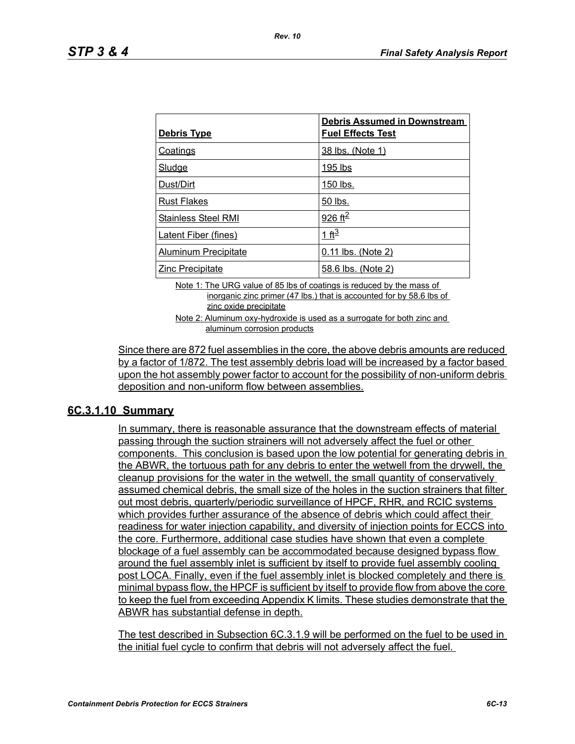| Debris Type                 | <b>Debris Assumed in Downstream</b><br><b>Fuel Effects Test</b> |
|-----------------------------|-----------------------------------------------------------------|
| Coatings                    | 38 lbs. (Note 1)                                                |
| <b>Sludge</b>               | 195 lbs                                                         |
| Dust/Dirt                   | 150 lbs.                                                        |
| <b>Rust Flakes</b>          | 50 lbs.                                                         |
| <b>Stainless Steel RMI</b>  | 926 ft <sup>2</sup>                                             |
| <b>Latent Fiber (fines)</b> | 1 ft <sup>3</sup>                                               |
| <b>Aluminum Precipitate</b> | 0.11 lbs. (Note 2)                                              |
| <b>Zinc Precipitate</b>     | 58.6 lbs. (Note 2)                                              |

Note 1: The URG value of 85 lbs of coatings is reduced by the mass of inorganic zinc primer (47 lbs.) that is accounted for by 58.6 lbs of zinc oxide precipitate

Note 2: Aluminum oxy-hydroxide is used as a surrogate for both zinc and aluminum corrosion products

Since there are 872 fuel assemblies in the core, the above debris amounts are reduced by a factor of 1/872. The test assembly debris load will be increased by a factor based upon the hot assembly power factor to account for the possibility of non-uniform debris deposition and non-uniform flow between assemblies.

## **6C.3.1.10 Summary**

In summary, there is reasonable assurance that the downstream effects of material passing through the suction strainers will not adversely affect the fuel or other components. This conclusion is based upon the low potential for generating debris in the ABWR, the tortuous path for any debris to enter the wetwell from the drywell, the cleanup provisions for the water in the wetwell, the small quantity of conservatively assumed chemical debris, the small size of the holes in the suction strainers that filter out most debris, quarterly/periodic surveillance of HPCF, RHR, and RCIC systems which provides further assurance of the absence of debris which could affect their readiness for water injection capability, and diversity of injection points for ECCS into the core. Furthermore, additional case studies have shown that even a complete blockage of a fuel assembly can be accommodated because designed bypass flow around the fuel assembly inlet is sufficient by itself to provide fuel assembly cooling post LOCA. Finally, even if the fuel assembly inlet is blocked completely and there is minimal bypass flow, the HPCF is sufficient by itself to provide flow from above the core to keep the fuel from exceeding Appendix K limits. These studies demonstrate that the ABWR has substantial defense in depth.

The test described in Subsection 6C.3.1.9 will be performed on the fuel to be used in the initial fuel cycle to confirm that debris will not adversely affect the fuel.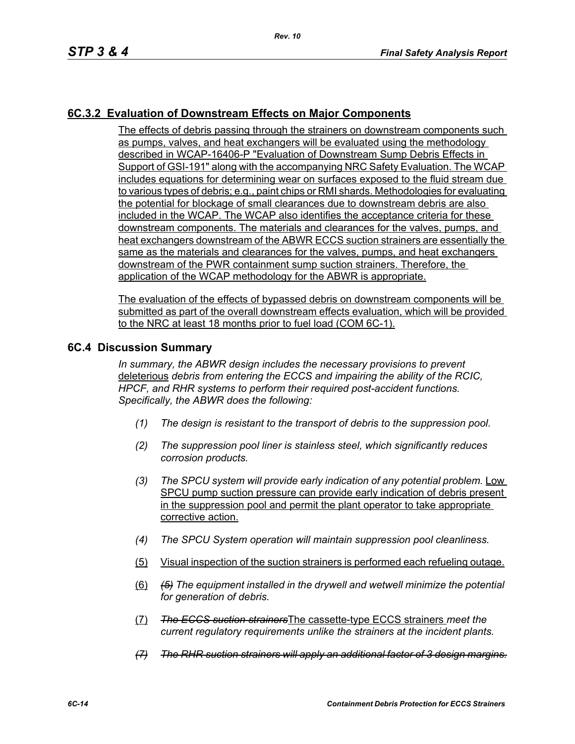## **6C.3.2 Evaluation of Downstream Effects on Major Components**

The effects of debris passing through the strainers on downstream components such as pumps, valves, and heat exchangers will be evaluated using the methodology described in WCAP-16406-P "Evaluation of Downstream Sump Debris Effects in Support of GSI-191" along with the accompanying NRC Safety Evaluation. The WCAP includes equations for determining wear on surfaces exposed to the fluid stream due to various types of debris; e.g., paint chips or RMI shards. Methodologies for evaluating the potential for blockage of small clearances due to downstream debris are also included in the WCAP. The WCAP also identifies the acceptance criteria for these downstream components. The materials and clearances for the valves, pumps, and heat exchangers downstream of the ABWR ECCS suction strainers are essentially the same as the materials and clearances for the valves, pumps, and heat exchangers downstream of the PWR containment sump suction strainers. Therefore, the application of the WCAP methodology for the ABWR is appropriate.

The evaluation of the effects of bypassed debris on downstream components will be submitted as part of the overall downstream effects evaluation, which will be provided to the NRC at least 18 months prior to fuel load (COM 6C-1).

#### **6C.4 Discussion Summary**

*In summary, the ABWR design includes the necessary provisions to prevent*  deleterious *debris from entering the ECCS and impairing the ability of the RCIC, HPCF, and RHR systems to perform their required post-accident functions. Specifically, the ABWR does the following:*

- *(1) The design is resistant to the transport of debris to the suppression pool.*
- *(2) The suppression pool liner is stainless steel, which significantly reduces corrosion products.*
- *(3) The SPCU system will provide early indication of any potential problem.* Low SPCU pump suction pressure can provide early indication of debris present in the suppression pool and permit the plant operator to take appropriate corrective action.
- *(4) The SPCU System operation will maintain suppression pool cleanliness.*
- (5) Visual inspection of the suction strainers is performed each refueling outage.
- (6) *(5) The equipment installed in the drywell and wetwell minimize the potential for generation of debris.*
- (7) *The ECCS suction strainers*The cassette-type ECCS strainers *meet the current regulatory requirements unlike the strainers at the incident plants.*
- *(7) The RHR suction strainers will apply an additional factor of 3 design margins.*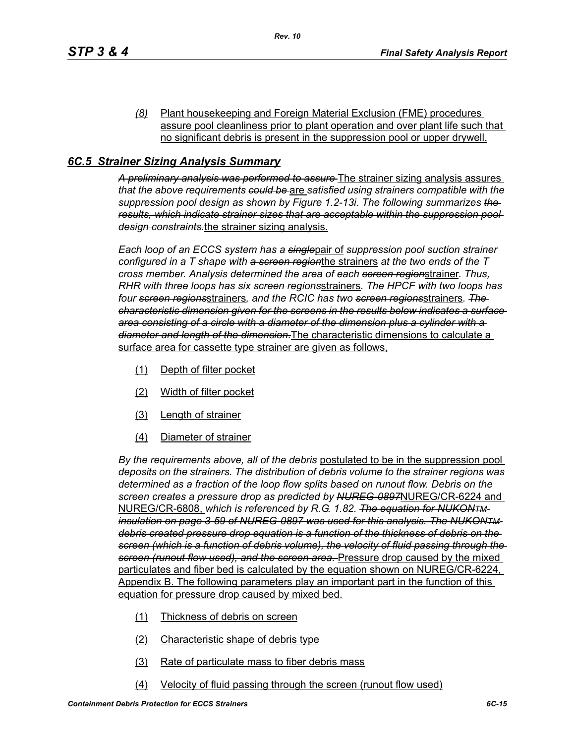*(8)* Plant housekeeping and Foreign Material Exclusion (FME) procedures assure pool cleanliness prior to plant operation and over plant life such that no significant debris is present in the suppression pool or upper drywell.

## *6C.5 Strainer Sizing Analysis Summary*

*A preliminary analysis was performed to assure* The strainer sizing analysis assures *that the above requirements could be* are *satisfied using strainers compatible with the suppression pool design as shown by Figure 1.2-13i. The following summarizes the results, which indicate strainer sizes that are acceptable within the suppression pool design constraints.*the strainer sizing analysis.

*Each loop of an ECCS system has a single*pair of *suppression pool suction strainer configured in a T shape with a screen region*the strainers *at the two ends of the T cross member. Analysis determined the area of each screen region*strainer. *Thus, RHR with three loops has six screen regions*strainers*. The HPCF with two loops has four screen regions*strainers*, and the RCIC has two screen regions*strainers*. The characteristic dimension given for the screens in the results below indicates a surface area consisting of a circle with a diameter of the dimension plus a cylinder with a diameter and length of the dimension.*The characteristic dimensions to calculate a surface area for cassette type strainer are given as follows,

- (1) Depth of filter pocket
- (2) Width of filter pocket
- (3) Length of strainer
- (4) Diameter of strainer

*By the requirements above, all of the debris* postulated to be in the suppression pool *deposits on the strainers. The distribution of debris volume to the strainer regions was determined as a fraction of the loop flow splits based on runout flow. Debris on the screen creates a pressure drop as predicted by NUREG-0897*NUREG/CR-6224 and NUREG/CR-6808, *which is referenced by R.G. 1.82. The equation for NUKONTM insulation on page 3-59 of NUREG-0897 was used for this analysis. The NUKONTM debris created pressure drop equation is a function of the thickness of debris on the screen (which is a function of debris volume), the velocity of fluid passing through the screen (runout flow used), and the screen area.* Pressure drop caused by the mixed particulates and fiber bed is calculated by the equation shown on NUREG/CR-6224, Appendix B. The following parameters play an important part in the function of this equation for pressure drop caused by mixed bed.

- (1) Thickness of debris on screen
- (2) Characteristic shape of debris type
- (3) Rate of particulate mass to fiber debris mass
- (4) Velocity of fluid passing through the screen (runout flow used)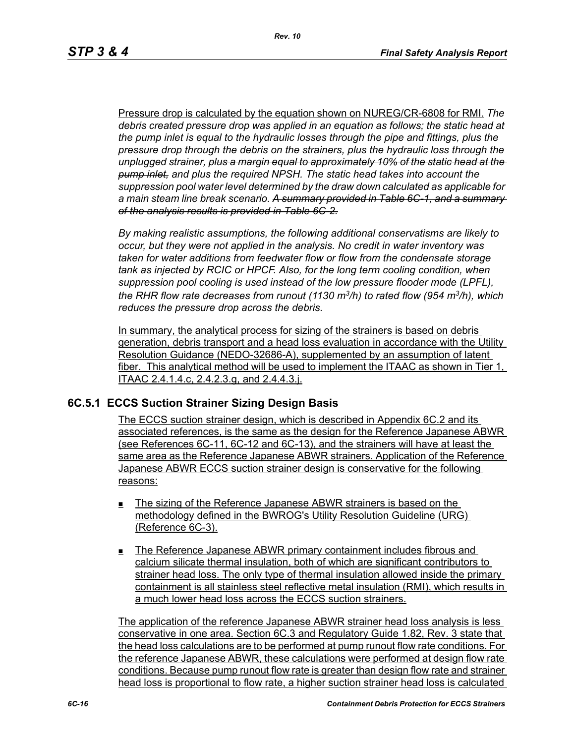Pressure drop is calculated by the equation shown on NUREG/CR-6808 for RMI. *The debris created pressure drop was applied in an equation as follows; the static head at the pump inlet is equal to the hydraulic losses through the pipe and fittings, plus the pressure drop through the debris on the strainers, plus the hydraulic loss through the unplugged strainer, plus a margin equal to approximately 10% of the static head at the pump inlet, and plus the required NPSH. The static head takes into account the suppression pool water level determined by the draw down calculated as applicable for a main steam line break scenario. A summary provided in Table 6C-1, and a summary of the analysis results is provided in Table 6C-2.*

*By making realistic assumptions, the following additional conservatisms are likely to occur, but they were not applied in the analysis. No credit in water inventory was taken for water additions from feedwater flow or flow from the condensate storage tank as injected by RCIC or HPCF. Also, for the long term cooling condition, when suppression pool cooling is used instead of the low pressure flooder mode (LPFL), the RHR flow rate decreases from runout (1130 m3/h) to rated flow (954 m3/h), which reduces the pressure drop across the debris.*

In summary, the analytical process for sizing of the strainers is based on debris generation, debris transport and a head loss evaluation in accordance with the Utility Resolution Guidance (NEDO-32686-A), supplemented by an assumption of latent fiber. This analytical method will be used to implement the ITAAC as shown in Tier 1, ITAAC 2.4.1.4.c, 2.4.2.3.g, and 2.4.4.3.j.

#### **6C.5.1 ECCS Suction Strainer Sizing Design Basis**

The ECCS suction strainer design, which is described in Appendix 6C.2 and its associated references, is the same as the design for the Reference Japanese ABWR (see References 6C-11, 6C-12 and 6C-13), and the strainers will have at least the same area as the Reference Japanese ABWR strainers. Application of the Reference Japanese ABWR ECCS suction strainer design is conservative for the following reasons:

- The sizing of the Reference Japanese ABWR strainers is based on the methodology defined in the BWROG's Utility Resolution Guideline (URG) (Reference 6C-3).
- The Reference Japanese ABWR primary containment includes fibrous and calcium silicate thermal insulation, both of which are significant contributors to strainer head loss. The only type of thermal insulation allowed inside the primary containment is all stainless steel reflective metal insulation (RMI), which results in a much lower head loss across the ECCS suction strainers.

The application of the reference Japanese ABWR strainer head loss analysis is less conservative in one area. Section 6C.3 and Regulatory Guide 1.82, Rev. 3 state that the head loss calculations are to be performed at pump runout flow rate conditions. For the reference Japanese ABWR, these calculations were performed at design flow rate conditions. Because pump runout flow rate is greater than design flow rate and strainer head loss is proportional to flow rate, a higher suction strainer head loss is calculated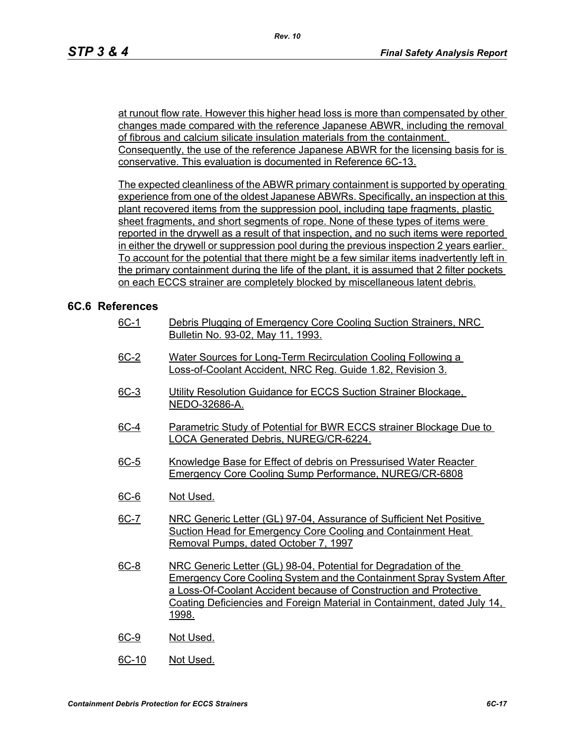at runout flow rate. However this higher head loss is more than compensated by other changes made compared with the reference Japanese ABWR, including the removal of fibrous and calcium silicate insulation materials from the containment. Consequently, the use of the reference Japanese ABWR for the licensing basis for is conservative. This evaluation is documented in Reference 6C-13.

The expected cleanliness of the ABWR primary containment is supported by operating experience from one of the oldest Japanese ABWRs. Specifically, an inspection at this plant recovered items from the suppression pool, including tape fragments, plastic sheet fragments, and short segments of rope. None of these types of items were reported in the drywell as a result of that inspection, and no such items were reported in either the drywell or suppression pool during the previous inspection 2 years earlier. To account for the potential that there might be a few similar items inadvertently left in the primary containment during the life of the plant, it is assumed that 2 filter pockets on each ECCS strainer are completely blocked by miscellaneous latent debris.

## **6C.6 References**

- 6C-1 Debris Plugging of Emergency Core Cooling Suction Strainers, NRC Bulletin No. 93-02, May 11, 1993.
- 6C-2 Water Sources for Long-Term Recirculation Cooling Following a Loss-of-Coolant Accident, NRC Reg. Guide 1.82, Revision 3.
- 6C-3 Utility Resolution Guidance for ECCS Suction Strainer Blockage. NEDO-32686-A.
- 6C-4 Parametric Study of Potential for BWR ECCS strainer Blockage Due to LOCA Generated Debris, NUREG/CR-6224.
- 6C-5 Knowledge Base for Effect of debris on Pressurised Water Reacter Emergency Core Cooling Sump Performance, NUREG/CR-6808
- 6C-6 Not Used.
- 6C-7 NRC Generic Letter (GL) 97-04, Assurance of Sufficient Net Positive Suction Head for Emergency Core Cooling and Containment Heat Removal Pumps, dated October 7, 1997
- 6C-8 NRC Generic Letter (GL) 98-04, Potential for Degradation of the Emergency Core Cooling System and the Containment Spray System After a Loss-Of-Coolant Accident because of Construction and Protective Coating Deficiencies and Foreign Material in Containment, dated July 14, 1998.
- 6C-9 Not Used.
- 6C-10 Not Used.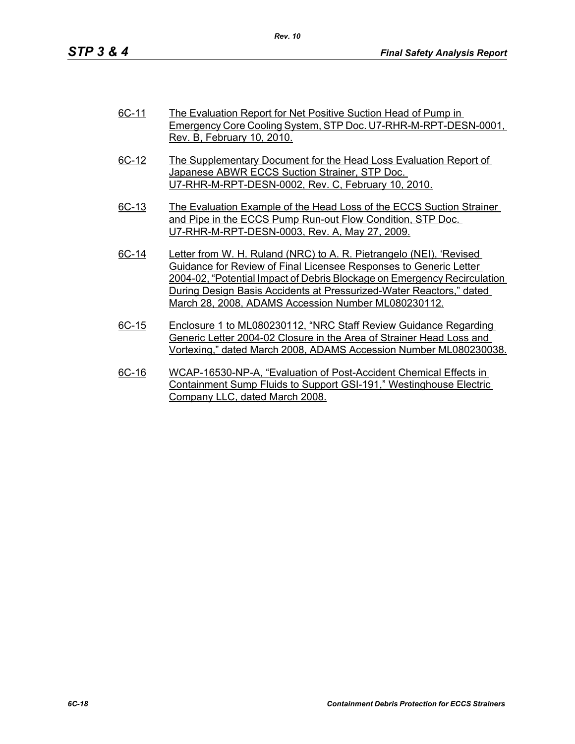| 6C-11 | The Evaluation Report for Net Positive Suction Head of Pump in<br>Emergency Core Cooling System, STP Doc. U7-RHR-M-RPT-DESN-0001,                                                   |
|-------|-------------------------------------------------------------------------------------------------------------------------------------------------------------------------------------|
|       | Rev. B. February 10, 2010.                                                                                                                                                          |
| 6C-12 | The Supplementary Document for the Head Loss Evaluation Report of<br>Japanese ABWR ECCS Suction Strainer, STP Doc.<br>U7-RHR-M-RPT-DESN-0002, Rev. C, February 10, 2010.            |
| 6C-13 | The Evaluation Example of the Head Loss of the ECCS Suction Strainer<br>and Pipe in the ECCS Pump Run-out Flow Condition, STP Doc.<br>U7-RHR-M-RPT-DESN-0003, Rev. A, May 27, 2009. |
| 6C-14 | Letter from W. H. Ruland (NRC) to A. R. Pietrangelo (NEI), 'Revised                                                                                                                 |

- Guidance for Review of Final Licensee Responses to Generic Letter 2004-02, "Potential Impact of Debris Blockage on Emergency Recirculation During Design Basis Accidents at Pressurized-Water Reactors," dated March 28, 2008, ADAMS Accession Number ML080230112.
- 6C-15 Enclosure 1 to ML080230112, "NRC Staff Review Guidance Regarding Generic Letter 2004-02 Closure in the Area of Strainer Head Loss and Vortexing," dated March 2008, ADAMS Accession Number ML080230038.
- 6C-16 WCAP-16530-NP-A, "Evaluation of Post-Accident Chemical Effects in Containment Sump Fluids to Support GSI-191," Westinghouse Electric Company LLC, dated March 2008.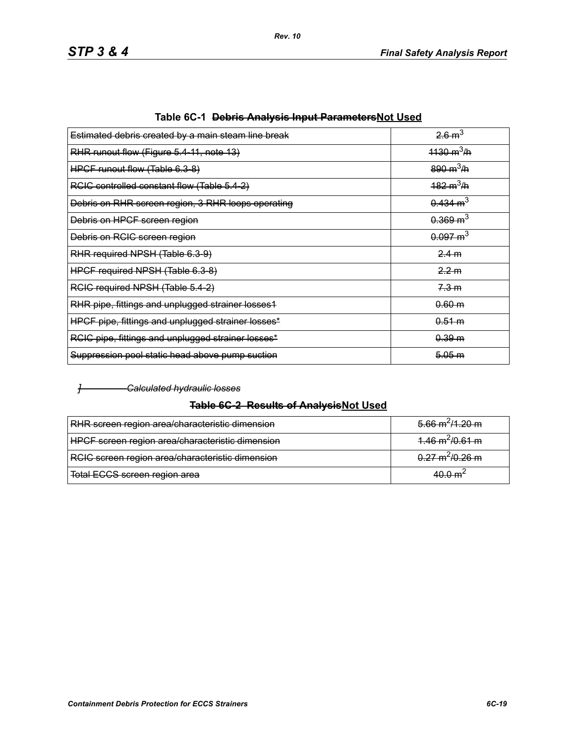| 26m <sup>3</sup>            |
|-----------------------------|
| $1130 \text{ m}^3/\text{h}$ |
| $890 \text{ m}^3/\text{h}$  |
| $182 \text{ m}^3/\text{h}$  |
| $0.434 \text{ m}^3$         |
| $0.369 \text{ m}^3$         |
| $0.097 \text{ m}^3$         |
| 2.4 m                       |
| 2.2 m                       |
| 7.3 m                       |
| 0.60 m                      |
| 0.51 m                      |
| 0.39 m                      |
| 5.05 m                      |
|                             |

| Table 6C-1 <del>Debris Analysis Input Parameters</del> Not Used |
|-----------------------------------------------------------------|
|-----------------------------------------------------------------|

#### *] Calculated hydraulic losses*

## **Table 6C-2 Results of AnalysisNot Used**

| RHR screen region area/characteristic dimension  | $5.66 \text{ m}^2/1.20 \text{ m}$ |
|--------------------------------------------------|-----------------------------------|
| HPCF screen region area/characteristic dimension | $4.46 \text{ m}^2/0.61 \text{ m}$ |
| RCIC screen region area/characteristic dimension | $0.27 \text{ m}^2/0.26 \text{ m}$ |
| Total ECCS screen region area                    | 40.0 m <sup>∠</sup>               |